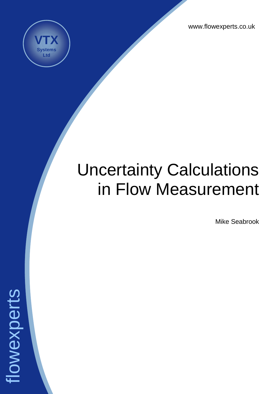www.flowexperts.co.uk



# Uncertainty Calculations in Flow Measurement

Mike Seabrook

flowexperts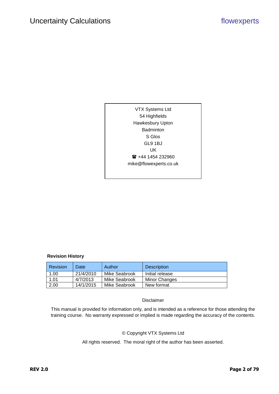VTX Systems Ltd 54 Highfields Hawkesbury Upton Badminton S Glos GL9 1BJ UK ■ +44 1454 232960 mike@flowexperts.co.uk

#### **Revision History**

| <b>Revision</b> | Date      | Author        | <b>Description</b> |
|-----------------|-----------|---------------|--------------------|
| 1.00            | 21/4/2010 | Mike Seabrook | Initial release    |
| 1.01            | 4/7/2013  | Mike Seabrook | Minor Changes      |
| 2.00            | 14/1/2015 | Mike Seabrook | New format         |

#### Disclaimer

This manual is provided for information only, and is intended as a reference for those attending the training course. No warranty expressed or implied is made regarding the accuracy of the contents.

#### © Copyright VTX Systems Ltd

All rights reserved. The moral right of the author has been asserted.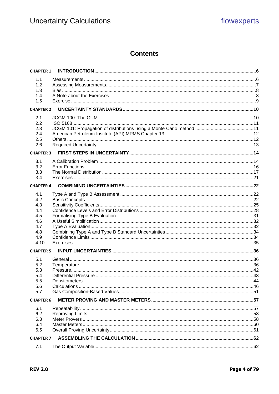## **Contents**

| <b>CHAPTER 1</b> |  |
|------------------|--|
| 1.1              |  |
| 1.2              |  |
| 1.3              |  |
| 1.4              |  |
| 1.5              |  |
| <b>CHAPTER 2</b> |  |
| 2.1              |  |
| 2.2              |  |
| 2.3              |  |
| 2.4              |  |
| 2.5              |  |
| 2.6              |  |
| <b>CHAPTER 3</b> |  |
| 3.1              |  |
| 3.2              |  |
| 3.3              |  |
| 3.4              |  |
| <b>CHAPTER 4</b> |  |
| 4.1              |  |
| 4.2              |  |
| 4.3              |  |
| 4.4              |  |
| 4.5              |  |
| 4.6              |  |
| 4.7              |  |
| 4.8              |  |
| 4.9              |  |
| 4.10             |  |
| <b>CHAPTER 5</b> |  |
| 5.1              |  |
| 5.2              |  |
| 5.3              |  |
| 5.4              |  |
| 5.5              |  |
| 5.6              |  |
| 5.7              |  |
| <b>CHAPTER 6</b> |  |
| 6.1              |  |
| 6.2              |  |
| 6.3              |  |
| 6.4              |  |
| 6.5              |  |
| <b>CHAPTER 7</b> |  |
| 7.1              |  |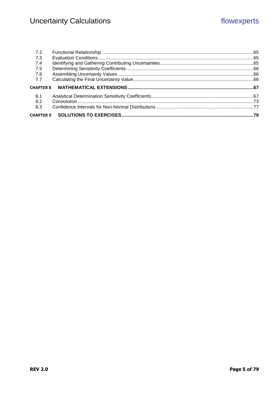| 8.1<br>8.2       |                                                               |  |
|------------------|---------------------------------------------------------------|--|
|                  |                                                               |  |
| <b>CHAPTER 8</b> | MATHEMATICAL EXTENSIONS ……………………………………………………………………………………………67 |  |
| 7.7              |                                                               |  |
| 7.6              |                                                               |  |
| 7.5              |                                                               |  |
| 7.4              |                                                               |  |
| 7.3              |                                                               |  |
|                  |                                                               |  |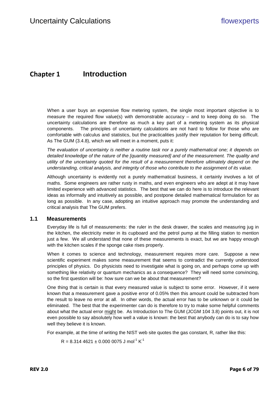# <span id="page-5-0"></span>**Chapter 1 Introduction**

When a user buys an expensive flow metering system, the single most important objective is to measure the required flow value(s) with demonstrable accuracy – and to keep doing do so. The uncertainty calculations are therefore as much a key part of a metering system as its physical components. The principles of uncertainty calculations are not hard to follow for those who are comfortable with calculus and statistics, but the practicalities justify their reputation for being difficult. As The GUM (3.4.8), which we will meet in a moment, puts it:

*The evaluation of uncertainty is neither a routine task nor a purely mathematical one; it depends on detailed knowledge of the nature of the [quantity measured] and of the measurement. The quality and utility of the uncertainty quoted for the result of a measurement therefore ultimately depend on the understanding, critical analysis, and integrity of those who contribute to the assignment of its value.*

Although uncertainty is evidently not a purely mathematical business, it certainly involves a lot of maths. Some engineers are rather rusty in maths, and even engineers who are adept at it may have limited experience with advanced statistics. The best that we can do here is to introduce the relevant ideas as informally and intuitively as possible, and postpone detailed mathematical formulation for as long as possible. In any case, adopting an intuitive approach may promote the understanding and critical analysis that The GUM prefers.

#### <span id="page-5-1"></span>**1.1 Measurements**

Everyday life is full of measurements: the ruler in the desk drawer, the scales and measuring jug in the kitchen, the electricity meter in its cupboard and the petrol pump at the filling station to mention just a few. We all understand that none of these measurements is exact, but we are happy enough with the kitchen scales if the sponge cake rises properly.

When it comes to science and technology, measurement requires more care. Suppose a new scientific experiment makes some measurement that seems to contradict the currently understood principles of physics. Do physicists need to investigate what is going on, and perhaps come up with something like relativity or quantum mechanics as a consequence? They will need some convincing, so the first question will be: how sure can we be about that measurement?

One thing that is certain is that every measured value is subject to some error. However, if it were known that a measurement gave a positive error of 0.05% then this amount could be subtracted from the result to leave no error at all. In other words, the actual error has to be unknown or it could be eliminated. The best that the experimenter can do is therefore to try to make some helpful comments about what the actual error might be. As Introduction to The GUM (JCGM 104 3.8) points out, it is not even possible to say absolutely how well a value is known: the best that anybody can do is to say how well they believe it is known.

For example, at the time of writing the NIST web site quotes the gas constant, R, rather like this:

 $R = 8.3144621 \pm 0.0000075$  J mol<sup>-1</sup> K<sup>-1</sup>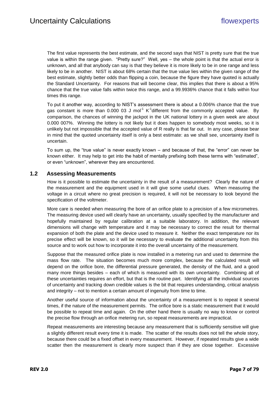The first value represents the best estimate, and the second says that NIST is pretty sure that the true value is within the range given. "Pretty sure?" Well, yes – the whole point is that the actual error is unknown, and all that anybody can say is that they believe it is more likely to be in one range and less likely to be in another. NIST is about 68% certain that the true value lies within the given range of the best estimate, slightly better odds than flipping a coin, because the figure they have quoted is actually the Standard Uncertainty. For reasons that will become clear, this implies that there is about a 95% chance that the true value falls within twice this range, and a 99.9936% chance that it falls within four times this range.

To put it another way, according to NIST's assessment there is about a 0.006% chance that the true gas constant is more than 0.000 03 J mol<sup>-1</sup> K<sup>-1</sup>different from the commonly accepted value. By comparison, the chances of winning the jackpot in the UK national lottery in a given week are about 0.000 007%. Winning the lottery is not likely but it does happen to somebody most weeks, so it is unlikely but not impossible that the accepted value of R really is that far out. In any case, please bear in mind that the quoted uncertainty itself is only a best estimate: as we shall see, uncertainty itself is uncertain.

To sum up, the "true value" is never exactly known – and because of that, the "error" can never be known either. It may help to get into the habit of mentally prefixing both these terms with "estimated", or even "unknown", wherever they are encountered.

#### <span id="page-6-0"></span>**1.2 Assessing Measurements**

How is it possible to estimate the uncertainty in the result of a measurement? Clearly the nature of the measurement and the equipment used in it will give some useful clues. When measuring the voltage in a circuit where no great precision is required, it will not be necessary to look beyond the specification of the voltmeter.

More care is needed when measuring the bore of an orifice plate to a precision of a few micrometres. The measuring device used will clearly have an uncertainty, usually specified by the manufacturer and hopefully maintained by regular calibration at a suitable laboratory. In addition, the relevant dimensions will change with temperature and it may be necessary to correct the result for thermal expansion of both the plate and the device used to measure it. Neither the exact temperature nor its precise effect will be known, so it will be necessary to evaluate the additional uncertainty from this source and to work out how to incorporate it into the overall uncertainty of the measurement.

Suppose that the measured orifice plate is now installed in a metering run and used to determine the mass flow rate. The situation becomes much more complex, because the calculated result will depend on the orifice bore, the differential pressure generated, the density of the fluid, and a good many more things besides – each of which is measured with its own uncertainty. Combining all of these uncertainties requires an effort, but that is the routine part. Identifying all the individual sources of uncertainty and tracking down credible values is the bit that requires understanding, critical analysis and integrity – not to mention a certain amount of ingenuity from time to time.

Another useful source of information about the uncertainty of a measurement is to repeat it several times, if the nature of the measurement permits. The orifice bore is a static measurement that it would be possible to repeat time and again. On the other hand there is usually no way to know or control the precise flow through an orifice metering run, so repeat measurements are impractical.

Repeat measurements are interesting because any measurement that is sufficiently sensitive will give a slightly different result every time it is made. The scatter of the results does not tell the whole story, because there could be a fixed offset in every measurement. However, if repeated results give a wide scatter then the measurement is clearly more suspect than if they are close together. Excessive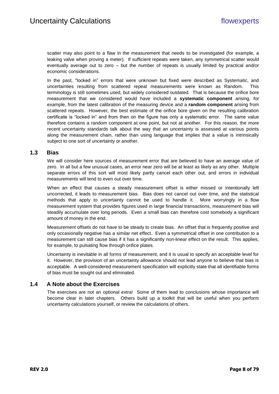scatter may also point to a flaw in the measurement that needs to be investigated (for example, a leaking valve when proving a meter). If sufficient repeats were taken, any symmetrical scatter would eventually average out to zero – but the number of repeats is usually limited by practical and/or economic considerations.

In the past, "locked in" errors that were unknown but fixed were described as Systematic, and uncertainties resulting from scattered repeat measurements were known as Random. This terminology is still sometimes used, but widely considered outdated. That is because the orifice bore measurement that we considered would have included a **systematic component** arising, for example, from the latest calibration of the measuring device and a **random component** arising from scattered repeats. However, the best estimate of the orifice bore given on the resulting calibration certificate is "locked in" and from then on the figure has only a systematic error. The same value therefore contains a random component at one point, but not at another. For this reason, the more recent uncertainty standards talk about the way that an uncertainty is assessed at various points along the measurement chain, rather than using language that implies that a value is intrinsically subject to one sort of uncertainty or another.

#### <span id="page-7-0"></span>**1.3 Bias**

We will consider here sources of measurement error that are believed to have an average value of zero. In all but a few unusual cases, an error near zero will be at least as likely as any other. Multiple separate errors of this sort will most likely partly cancel each other out, and errors in individual measurements will tend to even out over time.

When an effect that causes a steady measurement offset is either missed or intentionally left uncorrected, it leads to measurement bias. Bias does not cancel out over time, and the statistical methods that apply to uncertainty cannot be used to handle it. More worryingly in a flow measurement system that provides figures used in large financial transactions, measurement bias will steadily accumulate over long periods. Even a small bias can therefore cost somebody a significant amount of money in the end.

Measurement offsets do not have to be steady to create bias. An offset that is frequently positive and only occasionally negative has a similar net effect. Even a symmetrical offset in one contribution to a measurement can still cause bias if it has a significantly non-linear effect on the result. This applies, for example, to pulsating flow through orifice plates.

Uncertainty is inevitable in all forms of measurement, and it is usual to specify an acceptable level for it. However, the provision of an uncertainty allowance should not lead anyone to believe that bias is acceptable. A well-considered measurement specification will explicitly state that all identifiable forms of bias must be sought out and eliminated.

#### <span id="page-7-1"></span>**1.4 A Note about the Exercises**

The exercises are not an optional extra! Some of them lead to conclusions whose importance will become clear in later chapters. Others build up a toolkit that will be useful when you perform uncertainty calculations yourself, or review the calculations of others.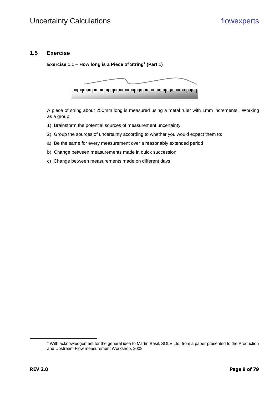## <span id="page-8-0"></span>**1.5 Exercise**

**Exercise 1.1 – How long is a Piece of String<sup>1</sup> (Part 1)**



A piece of string about 250mm long is measured using a metal ruler with 1mm increments. Working as a group:

- 1) Brainstorm the potential sources of measurement uncertainty.
- 2) Group the sources of uncertainty according to whether you would expect them to:
- a) Be the same for every measurement over a reasonably extended period
- b) Change between measurements made in quick succession
- c) Change between measurements made on different days

 $\overline{a}$ 

<sup>&</sup>lt;sup>1</sup> With acknowledgement for the general idea to Martin Basil, SOLV Ltd, from a paper presented to the Production and Upstream Flow measurement Workshop, 2008.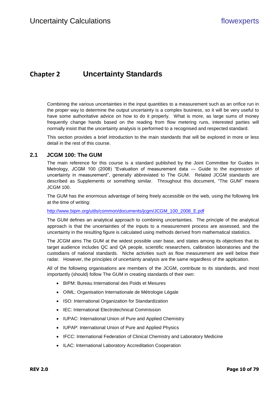## <span id="page-9-0"></span>**Chapter 2 Uncertainty Standards**

Combining the various uncertainties in the input quantities to a measurement such as an orifice run in the proper way to determine the output uncertainty is a complex business, so it will be very useful to have some authoritative advice on how to do it properly. What is more, as large sums of money frequently change hands based on the reading from flow metering runs, interested parties will normally insist that the uncertainty analysis is performed to a recognised and respected standard.

This section provides a brief introduction to the main standards that will be explored in more or less detail in the rest of this course.

### <span id="page-9-1"></span>**2.1 JCGM 100: The GUM**

The main reference for this course is a standard published by the Joint Committee for Guides in Metrology, JCGM 100 (2008) "Evaluation of measurement data — Guide to the expression of uncertainty in measurement", generally abbreviated to The GUM. Related JCGM standards are described as Supplements or something similar. Throughout this document, "The GUM" means JCGM 100.

The GUM has the enormous advantage of being freely accessible on the web, using the following link at the time of writing:

#### [http://www.bipm.org/utils/common/documents/jcgm/JCGM\\_100\\_2008\\_E.pdf](http://www.bipm.org/utils/common/documents/jcgm/JCGM_100_2008_E.pdf)

The GUM defines an analytical approach to combining uncertainties. The principle of the analytical approach is that the uncertainties of the inputs to a measurement process are assessed, and the uncertainty in the resulting figure is calculated using methods derived from mathematical statistics.

The JCGM aims The GUM at the widest possible user base, and states among its objectives that its target audience includes QC and QA people, scientific researchers, calibration laboratories and the custodians of national standards. Niche activities such as flow measurement are well below their radar. However, the principles of uncertainty analysis are the same regardless of the application.

All of the following organisations are members of the JCGM, contribute to its standards, and most importantly (should) follow The GUM in creating standards of their own:

- BIPM: Bureau International des Poids et Mesures
- OIML: Organisation Internationale de Métrologie Légale
- ISO: International Organization for Standardization
- IEC: International Electrotechnical Commission
- IUPAC: International Union of Pure and Applied Chemistry
- IUPAP: International Union of Pure and Applied Physics
- IFCC: International Federation of Clinical Chemistry and Laboratory Medicine
- ILAC: International Laboratory Accreditation Cooperation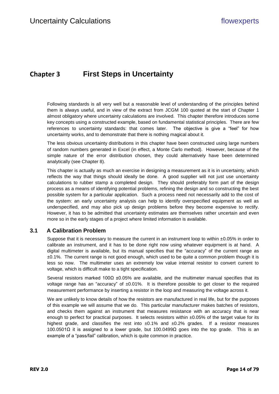# <span id="page-10-0"></span>**Chapter 3 First Steps in Uncertainty**

Following standards is all very well but a reasonable level of understanding of the principles behind them is always useful, and in view of the extract from JCGM 100 quoted at the start of [Chapter 1](#page-5-0) almost obligatory where uncertainty calculations are involved. This chapter therefore introduces some key concepts using a constructed example, based on fundamental statistical principles. There are few references to uncertainty standards: that comes later. The objective is give a "feel" for how uncertainty works, and to demonstrate that there is nothing magical about it.

The less obvious uncertainty distributions in this chapter have been constructed using large numbers of random numbers generated in Excel (in effect, a Monte Carlo method). However, because of the simple nature of the error distribution chosen, they could alternatively have been determined analytically (see [Chapter 8\)](#page-15-0).

This chapter is actually as much an exercise in designing a measurement as it is in uncertainty, which reflects the way that things should ideally be done. A good supplier will not just use uncertainty calculations to rubber stamp a completed design. They should preferably form part of the design process as a means of identifying potential problems, refining the design and so constructing the best possible system for a particular application. Such a process need not necessarily add to the cost of the system: an early uncertainty analysis can help to identify overspecified equipment as well as underspecified, and may also pick up design problems before they become expensive to rectify. However, it has to be admitted that uncertainty estimates are themselves rather uncertain and even more so in the early stages of a project where limited information is available.

## <span id="page-10-1"></span>**3.1 A Calibration Problem**

Suppose that it is necessary to measure the current in an instrument loop to within  $\pm 0.05\%$  in order to calibrate an instrument, and it has to be done right now using whatever equipment is at hand. A digital multimeter is available, but its manual specifies that the "accuracy" of the current range as  $\pm 0.1\%$ . The current range is not good enough, which used to be quite a common problem though it is less so now. The multimeter uses an extremely low value internal resistor to convert current to voltage, which is difficult make to a tight specification.

Several resistors marked 100 $\Omega$  ±0.05% are available, and the multimeter manual specifies that its voltage range has an "accuracy" of  $\pm 0.01\%$ . It is therefore possible to get closer to the required measurement performance by inserting a resistor in the loop and measuring the voltage across it.

We are unlikely to know details of how the resistors are manufactured in real life, but for the purposes of this example we will assume that we do. This particular manufacturer makes batches of resistors, and checks them against an instrument that measures resistance with an accuracy that is near enough to perfect for practical purposes. It selects resistors within  $\pm 0.05\%$  of the target value for its highest grade, and classifies the rest into  $\pm 0.1\%$  and  $\pm 0.2\%$  grades. If a resistor measures 100.0501Ω it is assigned to a lower grade, but 100.0499Ω goes into the top grade. This is an example of a "pass/fail" calibration, which is quite common in practice.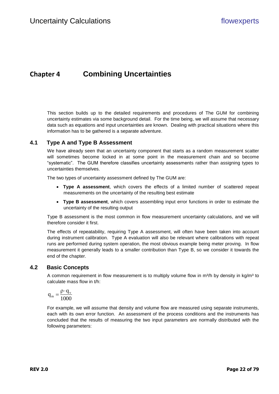# <span id="page-11-0"></span>**Chapter 4 Combining Uncertainties**

This section builds up to the detailed requirements and procedures of The GUM for combining uncertainty estimates via some background detail. For the time being, we will assume that necessary data such as equations and input uncertainties are known. Dealing with practical situations where this information has to be gathered is a separate adventure.

## <span id="page-11-1"></span>**4.1 Type A and Type B Assessment**

We have already seen that an uncertainty component that starts as a random measurement scatter will sometimes become locked in at some point in the measurement chain and so become "systematic". The GUM therefore classifies uncertainty assessments rather than assigning types to uncertainties themselves.

The two types of uncertainty assessment defined by The GUM are:

- **Type A assessment**, which covers the effects of a limited number of scattered repeat measurements on the uncertainty of the resulting best estimate
- **Type B assessment**, which covers assembling input error functions in order to estimate the uncertainty of the resulting output

Type B assessment is the most common in flow measurement uncertainty calculations, and we will therefore consider it first.

The effects of repeatability, requiring Type A assessment, will often have been taken into account during instrument calibration. Type A evaluation will also be relevant where calibrations with repeat runs are performed during system operation, the most obvious example being meter proving. In flow measurement it generally leads to a smaller contribution than Type B, so we consider it towards the end of the chapter.

#### <span id="page-11-2"></span>**4.2 Basic Concepts**

A common requirement in flow measurement is to multiply volume flow in m<sup>3</sup>/h by density in kg/m<sup>3</sup> to calculate mass flow in t/h:

$$
q_m = \frac{\rho \cdot q_v}{1000}
$$

For example, we will assume that density and volume flow are measured using separate instruments, each with its own error function. An assessment of the process conditions and the instruments has concluded that the results of measuring the two input parameters are normally distributed with the following parameters: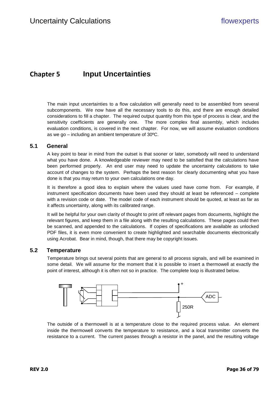# <span id="page-12-0"></span>**Chapter 5 Input Uncertainties**

The main input uncertainties to a flow calculation will generally need to be assembled from several subcomponents. We now have all the necessary tools to do this, and there are enough detailed considerations to fill a chapter. The required output quantity from this type of process is clear, and the sensitivity coefficients are generally one. The more complex final assembly, which includes evaluation conditions, is covered in the next chapter. For now, we will assume evaluation conditions as we go – including an ambient temperature of 30ºC.

#### <span id="page-12-1"></span>**5.1 General**

A key point to bear in mind from the outset is that sooner or later, somebody will need to understand what you have done. A knowledgeable reviewer may need to be satisfied that the calculations have been performed properly. An end user may need to update the uncertainty calculations to take account of changes to the system. Perhaps the best reason for clearly documenting what you have done is that you may return to your own calculations one day.

It is therefore a good idea to explain where the values used have come from. For example, if instrument specification documents have been used they should at least be referenced – complete with a revision code or date. The model code of each instrument should be quoted, at least as far as it affects uncertainty, along with its calibrated range.

It will be helpful for your own clarity of thought to print off relevant pages from documents, highlight the relevant figures, and keep them in a file along with the resulting calculations. These pages could then be scanned, and appended to the calculations. If copies of specifications are available as unlocked PDF files, it is even more convenient to create highlighted and searchable documents electronically using Acrobat. Bear in mind, though, that there may be copyright issues.

## <span id="page-12-2"></span>**5.2 Temperature**

Temperature brings out several points that are general to all process signals, and will be examined in some detail. We will assume for the moment that it is possible to insert a thermowell at exactly the point of interest, although it is often not so in practice. The complete loop is illustrated below.



The outside of a thermowell is at a temperature close to the required process value. An element inside the thermowell converts the temperature to resistance, and a local transmitter converts the resistance to a current. The current passes through a resistor in the panel, and the resulting voltage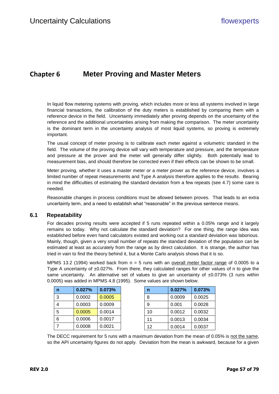## <span id="page-13-0"></span>**Chapter 6 Meter Proving and Master Meters**

In liquid flow metering systems with proving, which includes more or less all systems involved in large financial transactions, the calibration of the duty meters is established by comparing them with a reference device in the field. Uncertainty immediately after proving depends on the uncertainty of the reference and the additional uncertainties arising from making the comparison. The meter uncertainty is the dominant term in the uncertainty analysis of most liquid systems, so proving is extremely important.

The usual concept of meter proving is to calibrate each meter against a volumetric standard in the field. The volume of the proving device will vary with temperature and pressure, and the temperature and pressure at the prover and the meter will generally differ slightly. Both potentially lead to measurement bias, and should therefore be corrected even if their effects can be shown to be small.

Meter proving, whether it uses a master meter or a meter prover as the reference device, involves a limited number of repeat measurements and Type A analysis therefore applies to the results. Bearing in mind the difficulties of estimating the standard deviation from a few repeats (see [4.7\)](#page--1-10) some care is needed.

Reasonable changes in process conditions must be allowed between proves. That leads to an extra uncertainty term, and a need to establish what "reasonable" in the previous sentence means.

#### <span id="page-13-1"></span>**6.1 Repeatability**

For decades proving results were accepted if 5 runs repeated within a 0.05% range and it largely remains so today. Why not calculate the standard deviation? For one thing, the range idea was established before even hand calculators existed and working out a standard deviation was laborious. Mainly, though, given a very small number of repeats the standard deviation of the population can be estimated at least as accurately from the range as by direct calculation. It is strange, the author has tried in vain to find the theory behind it, but a Monte Carlo analysis shows that it is so.

MPMS 13.2 (1994) worked back from  $n = 5$  runs with an overall meter factor range of 0.0005 to a Type A uncertainty of ±0.027%. From there, they calculated ranges for other values of n to give the same uncertainty. An alternative set of values to give an uncertainty of  $\pm 0.073\%$  (3 runs within 0.0005) was added in MPMS 4.8 (1995). Some values are shown below.

| n | 0.027% | 0.073% | n  | 0.027% | 0.073% |
|---|--------|--------|----|--------|--------|
| 3 | 0.0002 | 0.0005 | 8  | 0.0009 | 0.0025 |
|   | 0.0003 | 0.0009 | 9  | 0.001  | 0.0028 |
| 5 | 0.0005 | 0.0014 | 10 | 0.0012 | 0.0032 |
| 6 | 0.0006 | 0.0017 | 11 | 0.0013 | 0.0034 |
|   | 0.0008 | 0.0021 | 12 | 0.0014 | 0.0037 |

| n | 0.027% | 0.073% |    | 0.027% | 0.073% |
|---|--------|--------|----|--------|--------|
| 3 | 0.0002 | 0.0005 |    | 0.0009 | 0.0025 |
| 4 | 0.0003 | 0.0009 | 9  | 0.001  | 0.0028 |
| 5 | 0.0005 | 0.0014 | 10 | 0.0012 | 0.0032 |
| 6 | 0.0006 | 0.0017 | 11 | 0.0013 | 0.0034 |
|   | 0.0008 | 0.0021 | 12 | 0.0014 | 0.0037 |

The DECC requirement for 5 runs with a maximum deviation from the mean of 0.05% is not the same, so the API uncertainty figures do not apply. Deviation from the mean is awkward, because for a given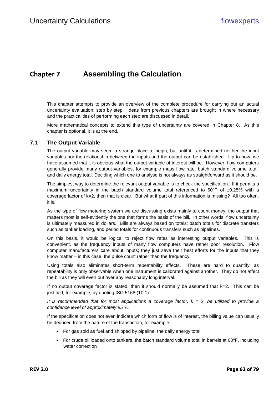# <span id="page-14-0"></span>**Chapter 7 Assembling the Calculation**

This chapter attempts to provide an overview of the complete procedure for carrying out an actual uncertainty evaluation, step by step. Ideas from previous chapters are brought in where necessary and the practicalities of performing each step are discussed in detail.

More mathematical concepts to extend this type of uncertainty are covered in [Chapter 8.](#page-15-0) As this chapter is optional, it is at the end.

#### <span id="page-14-1"></span>**7.1 The Output Variable**

The output variable may seem a strange place to begin, but until it is determined neither the input variables nor the relationship between the inputs and the output can be established. Up to now, we have assumed that it is obvious what the output variable of interest will be. However, flow computers generally provide many output variables, for example mass flow rate, batch standard volume total, and daily energy total. Deciding which one to analyse is not always as straightforward as it should be.

The simplest way to determine the relevant output variable is to check the specification. If it permits a maximum uncertainty in the batch standard volume total referenced to  $60^{\circ}$ F of  $\pm 0.25$ % with a coverage factor of k=2, then that is clear. But what if part of this information is missing? All too often, it is.

As the type of flow metering system we are discussing exists mainly to count money, the output that matters most is self-evidently the one that forms the basis of the bill. In other words, flow uncertainty is ultimately measured in dollars. Bills are always based on totals: batch totals for discrete transfers such as tanker loading, and period totals for continuous transfers such as pipelines.

On this basis, it would be logical to reject flow rates as interesting output variables. This is convenient, as the frequency inputs of many flow computers have rather poor resolution. Flow computer manufacturers care about inputs; they just save their best efforts for the inputs that they know matter – in this case, the pulse count rather than the frequency.

Using totals also eliminates short-term repeatability effects. These are hard to quantify, as repeatability is only observable when one instrument is calibrated against another. They do not affect the bill as they will even out over any reasonably long interval.

If no output coverage factor is stated, then it should normally be assumed that  $k=2$ . This can be justified, for example, by quoting ISO 5168 (10.1):

It is recommended that for most applications a coverage factor,  $k = 2$ , be utilized to provide a *confidence level of approximately 95 %.*

If the specification does not even indicate which form of flow is of interest, the billing value can usually be deduced from the nature of the transaction, for example:

- For gas sold as fuel and shipped by pipeline, the daily energy total
- For crude oil loaded onto tankers, the batch standard volume total in barrels at 60°F, including water correction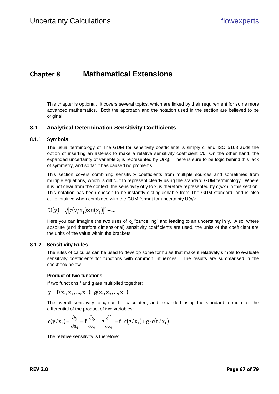# <span id="page-15-0"></span>**Chapter 8 Mathematical Extensions**

This chapter is optional. It covers several topics, which are linked by their requirement for some more advanced mathematics. Both the approach and the notation used in the section are believed to be original.

## <span id="page-15-1"></span>**8.1 Analytical Determination Sensitivity Coefficients**

#### **8.1.1 Symbols**

The usual terminology of The GUM for sensitivity coefficients is simply  $c_i$  and ISO 5168 adds the option of inserting an asterisk to make a relative sensitivity coefficient c\*;. On the other hand, the expanded uncertainty of variable  $x_i$  is represented by  $U(x_i)$ . There is sure to be logic behind this lack of symmetry, and so far it has caused no problems.

This section covers combining sensitivity coefficients from multiple sources and sometimes from multiple equations, which is difficult to represent clearly using the standard GUM terminology. Where it is not clear from the context, the sensitivity of y to  $x_i$  is therefore represented by  $c(y/x_i)$  in this section. This notation has been chosen to be instantly distinguishable from The GUM standard, and is also quite intuitive when combined with the GUM format for uncertainty  $U(x_i)$ :

$$
U(y) = \sqrt{[c(y/x_1) \times u(x_1)]^2 + \dots}
$$

Here you can imagine the two uses of  $x_1$  "cancelling" and leading to an uncertainty in y. Also, where absolute (and therefore dimensional) sensitivity coefficients are used, the units of the coefficient are the units of the value within the brackets.

#### **8.1.2 Sensitivity Rules**

The rules of calculus can be used to develop some formulae that make it relatively simple to evaluate sensitivity coefficients for functions with common influences. The results are summarised in the cookbook below.

#### **Product of two functions**

If two functions f and g are multiplied together:

 $y = f(x_1, x_2, ..., x_n) \times g(x_1, x_2, ..., x_n)$ 

The overall sensitivity to  $x_i$  can be calculated, and expanded using the standard formula for the differential of the product of two variables:

$$
c(y/x_i) = \frac{\partial y}{\partial x_i} = f \frac{\partial g}{\partial x_i} + g \frac{\partial f}{\partial x_i} = f \cdot c(g/x_i) + g \cdot c(f/x_i)
$$

The relative sensitivity is therefore: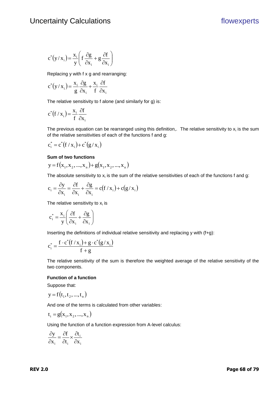$$
c^*(y/x_i) = \frac{x_i}{y} \left( f \frac{\partial g}{\partial x_i} + g \frac{\partial f}{\partial x_i} \right)
$$

Replacing y with f x g and rearranging:

$$
c^*(y/x_i) = \frac{x_i}{g} \frac{\partial g}{\partial x_i} + \frac{x_i}{f} \frac{\partial f}{\partial x_i}
$$

The relative sensitivity to f alone (and similarly for g) is:

$$
c^*\big(f / x_i\big) = \frac{x_i}{f} \frac{\partial f}{\partial x_i}
$$

 $c^2(y/x_1) = \frac{2\pi}{3}\left(\frac{12.5}{10.57} + R\frac{3.2}{10.57}\right)$ <br> **Replacing y with f** x g and reasonaging:<br>  $c^2(y/x_1) = \frac{3\pi}{3} \frac{N}{6} \frac{N}{x_1} + \frac{5\pi}{10.57}$ <br> **The relative sensitivity to f** alone (and similarly for g) is:<br>  $c^4(f/x_$ The previous equation can be rearranged using this definition,. The relative sensitivity to  $x_i$  is the sum of the relative sensitivities of each of the functions f and g:

$$
c_i^* = c^* (f / x_i) + c^* (g / x_i)
$$

#### **Sum of two functions**

$$
y = f(x_1, x_2, ..., x_n) + g(x_1, x_2, ..., x_n)
$$

The absolute sensitivity to  $x_i$  is the sum of the relative sensitivities of each of the functions f and g:

$$
c_i = \frac{\partial y}{\partial x_i} = \frac{\partial f}{\partial x_i} + \frac{\partial g}{\partial x_i} = c(f / x_i) + c(g / x_i)
$$

The relative sensitivity to  $x_i$  is

$$
c_i^* = \frac{x_i}{y} \left( \frac{\partial f}{\partial x_i} + \frac{\partial g}{\partial x_i} \right)
$$

Inserting the definitions of individual relative sensitivity and replacing y with (f+g):

$$
c_i^* = \frac{f \cdot c^*(f / x_i) + g \cdot c^*(g / x_i)}{f + g}
$$

The relative sensitivity of the sum is therefore the weighted average of the relative sensitivity of the two components.

#### **Function of a function**

Suppose that:

$$
y = f(t_1, t_2, ..., t_n)
$$

And one of the terms is calculated from other variables:

$$
t_i = g(x_1, x_2, ..., x_n)
$$

Using the function of a function expression from A-level calculus:

$$
\frac{\partial y}{\partial x_i} = \frac{\partial f}{\partial t_i} \times \frac{\partial t_i}{\partial x_i}
$$